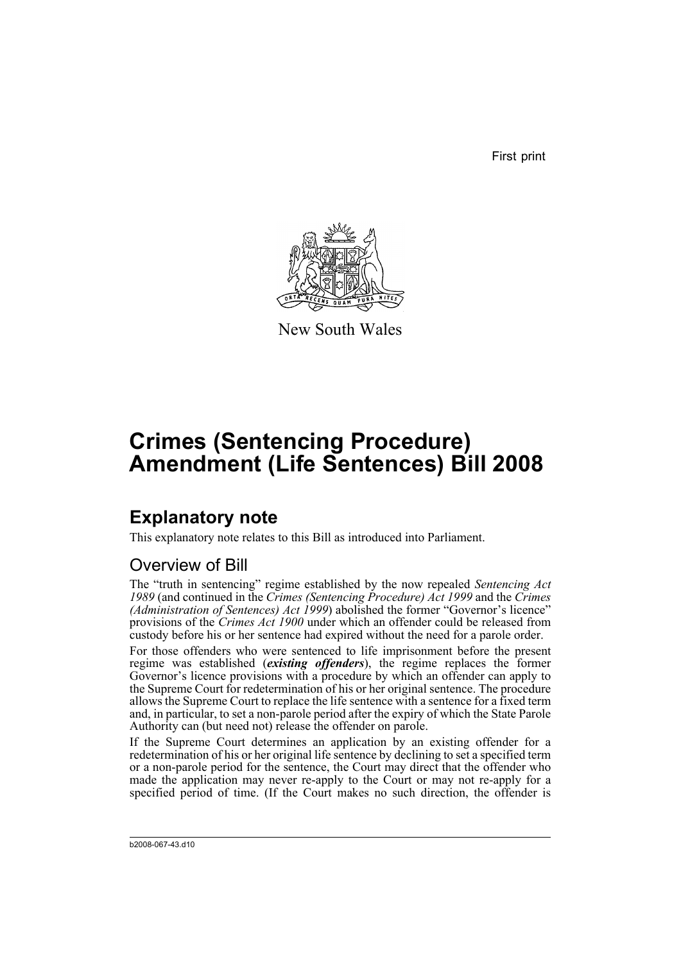First print



New South Wales

# **Crimes (Sentencing Procedure) Amendment (Life Sentences) Bill 2008**

## **Explanatory note**

This explanatory note relates to this Bill as introduced into Parliament.

### Overview of Bill

The "truth in sentencing" regime established by the now repealed *Sentencing Act 1989* (and continued in the *Crimes (Sentencing Procedure) Act 1999* and the *Crimes (Administration of Sentences) Act 1999*) abolished the former "Governor's licence" provisions of the *Crimes Act 1900* under which an offender could be released from custody before his or her sentence had expired without the need for a parole order.

For those offenders who were sentenced to life imprisonment before the present regime was established (*existing offenders*), the regime replaces the former Governor's licence provisions with a procedure by which an offender can apply to the Supreme Court for redetermination of his or her original sentence. The procedure allows the Supreme Court to replace the life sentence with a sentence for a fixed term and, in particular, to set a non-parole period after the expiry of which the State Parole Authority can (but need not) release the offender on parole.

If the Supreme Court determines an application by an existing offender for a redetermination of his or her original life sentence by declining to set a specified term or a non-parole period for the sentence, the Court may direct that the offender who made the application may never re-apply to the Court or may not re-apply for a specified period of time. (If the Court makes no such direction, the offender is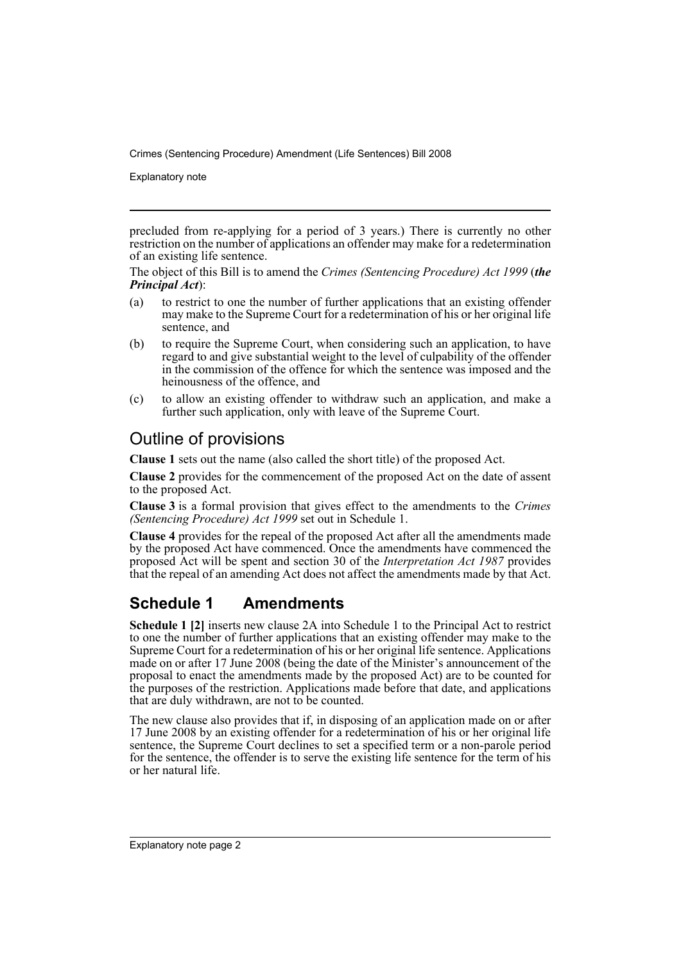Explanatory note

precluded from re-applying for a period of 3 years.) There is currently no other restriction on the number of applications an offender may make for a redetermination of an existing life sentence.

The object of this Bill is to amend the *Crimes (Sentencing Procedure) Act 1999* (*the Principal Act*):

- (a) to restrict to one the number of further applications that an existing offender may make to the Supreme Court for a redetermination of his or her original life sentence, and
- (b) to require the Supreme Court, when considering such an application, to have regard to and give substantial weight to the level of culpability of the offender in the commission of the offence for which the sentence was imposed and the heinousness of the offence, and
- (c) to allow an existing offender to withdraw such an application, and make a further such application, only with leave of the Supreme Court.

#### Outline of provisions

**Clause 1** sets out the name (also called the short title) of the proposed Act.

**Clause 2** provides for the commencement of the proposed Act on the date of assent to the proposed Act.

**Clause 3** is a formal provision that gives effect to the amendments to the *Crimes (Sentencing Procedure) Act 1999* set out in Schedule 1.

**Clause 4** provides for the repeal of the proposed Act after all the amendments made by the proposed Act have commenced. Once the amendments have commenced the proposed Act will be spent and section 30 of the *Interpretation Act 1987* provides that the repeal of an amending Act does not affect the amendments made by that Act.

#### **Schedule 1 Amendments**

**Schedule 1 [2]** inserts new clause 2A into Schedule 1 to the Principal Act to restrict to one the number of further applications that an existing offender may make to the Supreme Court for a redetermination of his or her original life sentence. Applications made on or after 17 June 2008 (being the date of the Minister's announcement of the proposal to enact the amendments made by the proposed Act) are to be counted for the purposes of the restriction. Applications made before that date, and applications that are duly withdrawn, are not to be counted.

The new clause also provides that if, in disposing of an application made on or after 17 June 2008 by an existing offender for a redetermination of his or her original life sentence, the Supreme Court declines to set a specified term or a non-parole period for the sentence, the offender is to serve the existing life sentence for the term of his or her natural life.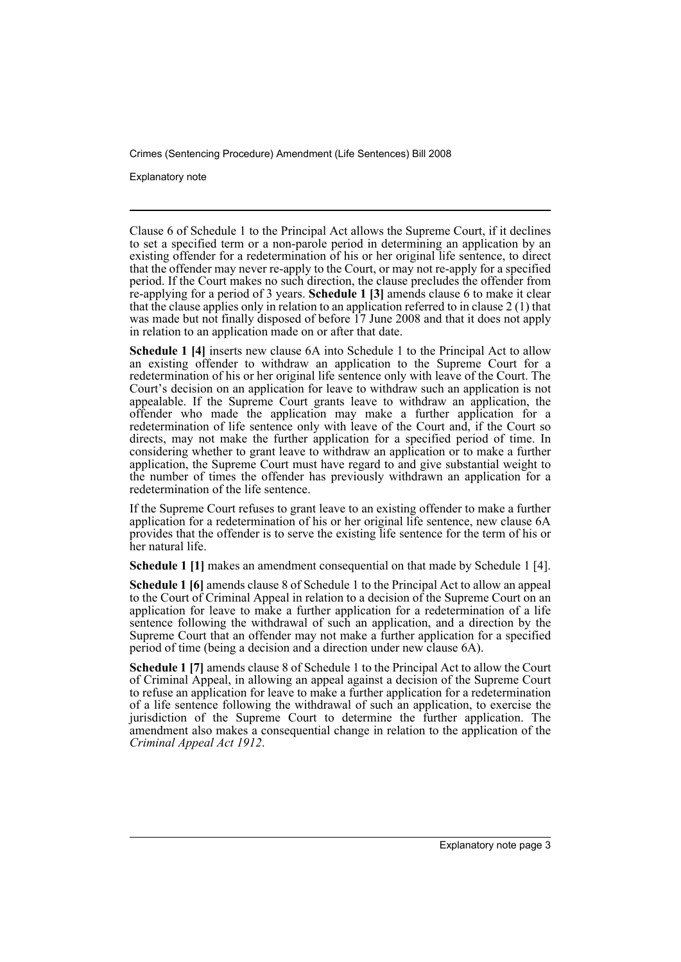Explanatory note

Clause 6 of Schedule 1 to the Principal Act allows the Supreme Court, if it declines to set a specified term or a non-parole period in determining an application by an existing offender for a redetermination of his or her original life sentence, to direct that the offender may never re-apply to the Court, or may not re-apply for a specified period. If the Court makes no such direction, the clause precludes the offender from re-applying for a period of 3 years. **Schedule 1 [3]** amends clause 6 to make it clear that the clause applies only in relation to an application referred to in clause 2 (1) that was made but not finally disposed of before 17 June 2008 and that it does not apply in relation to an application made on or after that date.

**Schedule 1 [4]** inserts new clause 6A into Schedule 1 to the Principal Act to allow an existing offender to withdraw an application to the Supreme Court for a redetermination of his or her original life sentence only with leave of the Court. The Court's decision on an application for leave to withdraw such an application is not appealable. If the Supreme Court grants leave to withdraw an application, the offender who made the application may make a further application for a redetermination of life sentence only with leave of the Court and, if the Court so directs, may not make the further application for a specified period of time. In considering whether to grant leave to withdraw an application or to make a further application, the Supreme Court must have regard to and give substantial weight to the number of times the offender has previously withdrawn an application for a redetermination of the life sentence.

If the Supreme Court refuses to grant leave to an existing offender to make a further application for a redetermination of his or her original life sentence, new clause 6A provides that the offender is to serve the existing life sentence for the term of his or her natural life.

**Schedule 1 [1]** makes an amendment consequential on that made by Schedule 1 [4].

**Schedule 1 [6]** amends clause 8 of Schedule 1 to the Principal Act to allow an appeal to the Court of Criminal Appeal in relation to a decision of the Supreme Court on an application for leave to make a further application for a redetermination of a life sentence following the withdrawal of such an application, and a direction by the Supreme Court that an offender may not make a further application for a specified period of time (being a decision and a direction under new clause 6A).

**Schedule 1 [7]** amends clause 8 of Schedule 1 to the Principal Act to allow the Court of Criminal Appeal, in allowing an appeal against a decision of the Supreme Court to refuse an application for leave to make a further application for a redetermination of a life sentence following the withdrawal of such an application, to exercise the jurisdiction of the Supreme Court to determine the further application. The amendment also makes a consequential change in relation to the application of the *Criminal Appeal Act 1912*.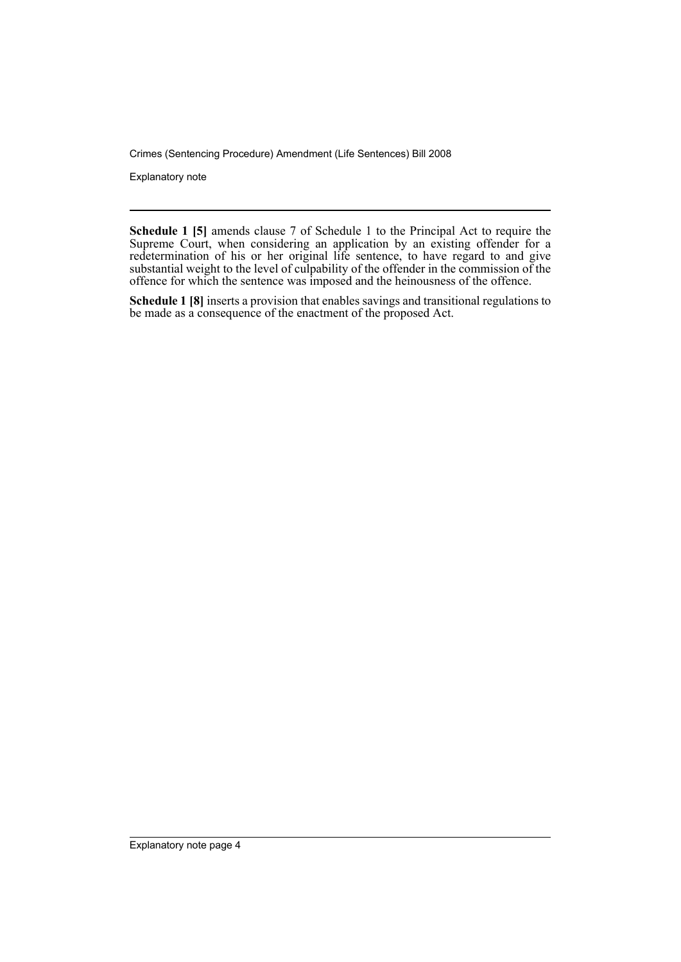Explanatory note

**Schedule 1 [5]** amends clause 7 of Schedule 1 to the Principal Act to require the Supreme Court, when considering an application by an existing offender for a redetermination of his or her original life sentence, to have regard to and give substantial weight to the level of culpability of the offender in the commission of the offence for which the sentence was imposed and the heinousness of the offence.

**Schedule 1 [8]** inserts a provision that enables savings and transitional regulations to be made as a consequence of the enactment of the proposed Act.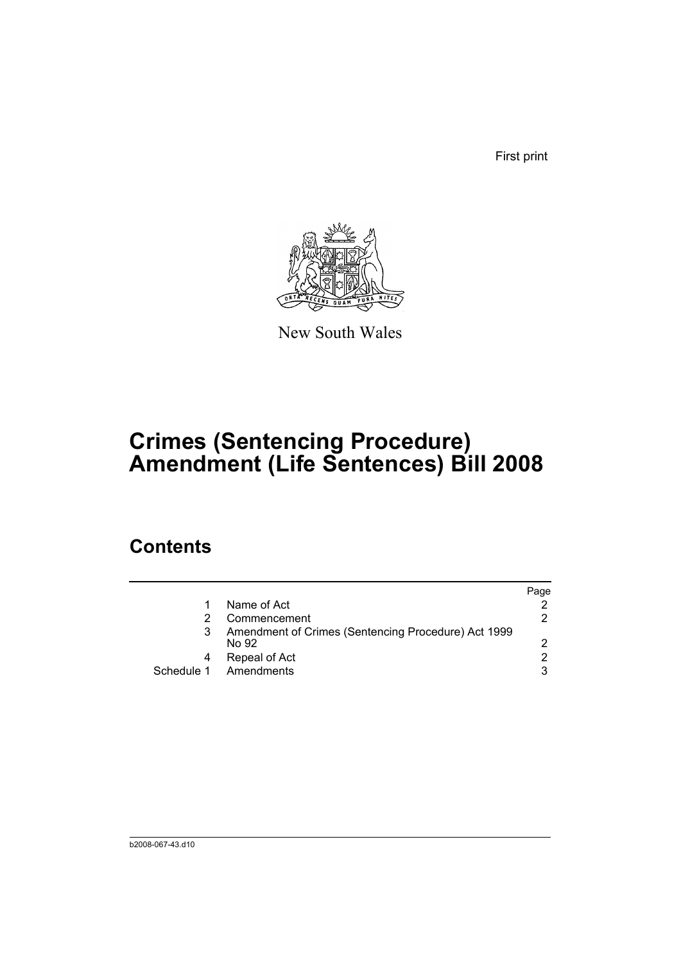First print



New South Wales

# **Crimes (Sentencing Procedure) Amendment (Life Sentences) Bill 2008**

### **Contents**

|   |                                                              | Page          |
|---|--------------------------------------------------------------|---------------|
|   | Name of Act                                                  |               |
|   | Commencement                                                 | 2.            |
| 3 | Amendment of Crimes (Sentencing Procedure) Act 1999<br>No 92 |               |
| 4 | Repeal of Act                                                | $\mathcal{P}$ |
|   | Schedule 1 Amendments                                        | 3             |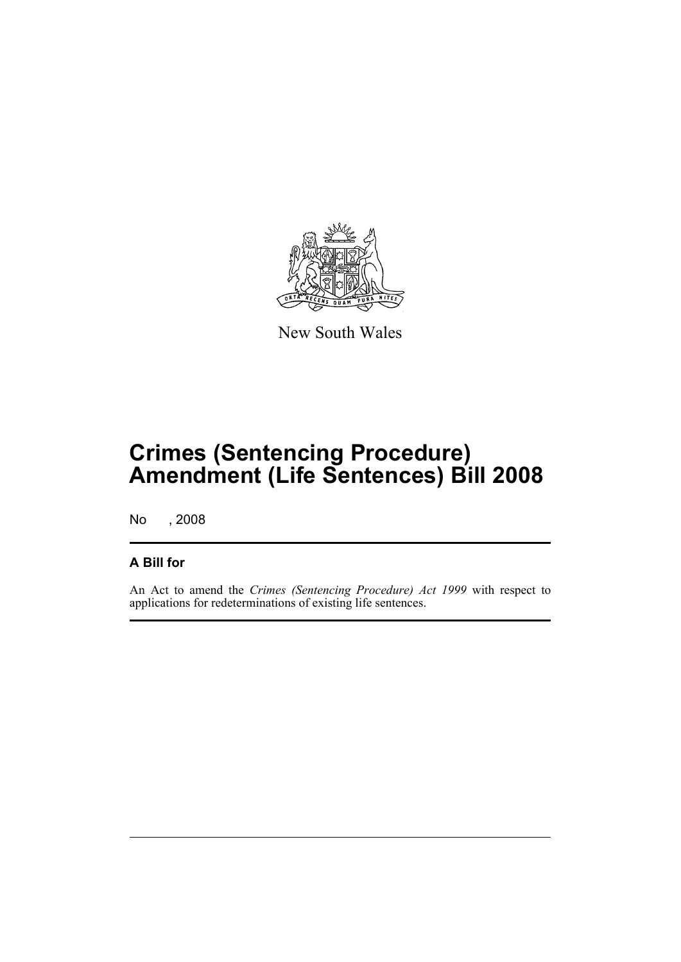

New South Wales

## **Crimes (Sentencing Procedure) Amendment (Life Sentences) Bill 2008**

No , 2008

#### **A Bill for**

An Act to amend the *Crimes (Sentencing Procedure) Act 1999* with respect to applications for redeterminations of existing life sentences.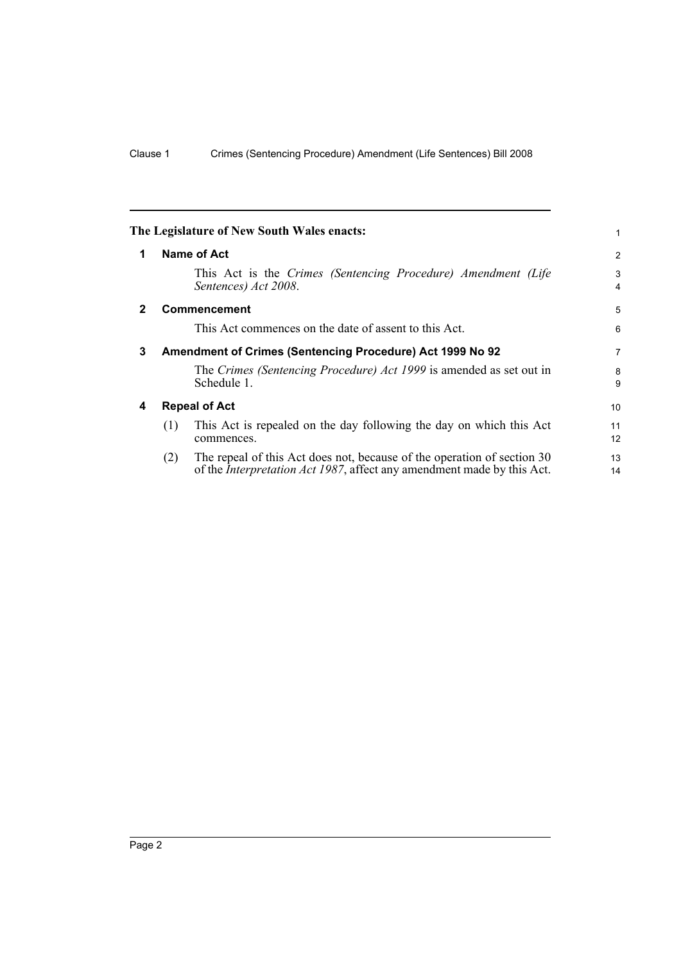<span id="page-7-3"></span><span id="page-7-2"></span><span id="page-7-1"></span><span id="page-7-0"></span>

|              |                                                           | The Legislature of New South Wales enacts:                                                                                                                | 1        |
|--------------|-----------------------------------------------------------|-----------------------------------------------------------------------------------------------------------------------------------------------------------|----------|
| 1            |                                                           | Name of Act                                                                                                                                               | 2        |
|              |                                                           | This Act is the Crimes (Sentencing Procedure) Amendment (Life<br>Sentences) Act 2008.                                                                     | 3<br>4   |
| $\mathbf{2}$ |                                                           | <b>Commencement</b>                                                                                                                                       | 5        |
|              |                                                           | This Act commences on the date of assent to this Act.                                                                                                     | 6        |
| 3            | Amendment of Crimes (Sentencing Procedure) Act 1999 No 92 |                                                                                                                                                           |          |
|              |                                                           | The Crimes (Sentencing Procedure) Act 1999 is amended as set out in<br>Schedule 1.                                                                        | 8<br>9   |
| 4            | <b>Repeal of Act</b>                                      |                                                                                                                                                           | 10       |
|              | (1)                                                       | This Act is repealed on the day following the day on which this Act<br>commences.                                                                         | 11<br>12 |
|              | (2)                                                       | The repeal of this Act does not, because of the operation of section 30<br>of the <i>Interpretation Act 1987</i> , affect any amendment made by this Act. | 13<br>14 |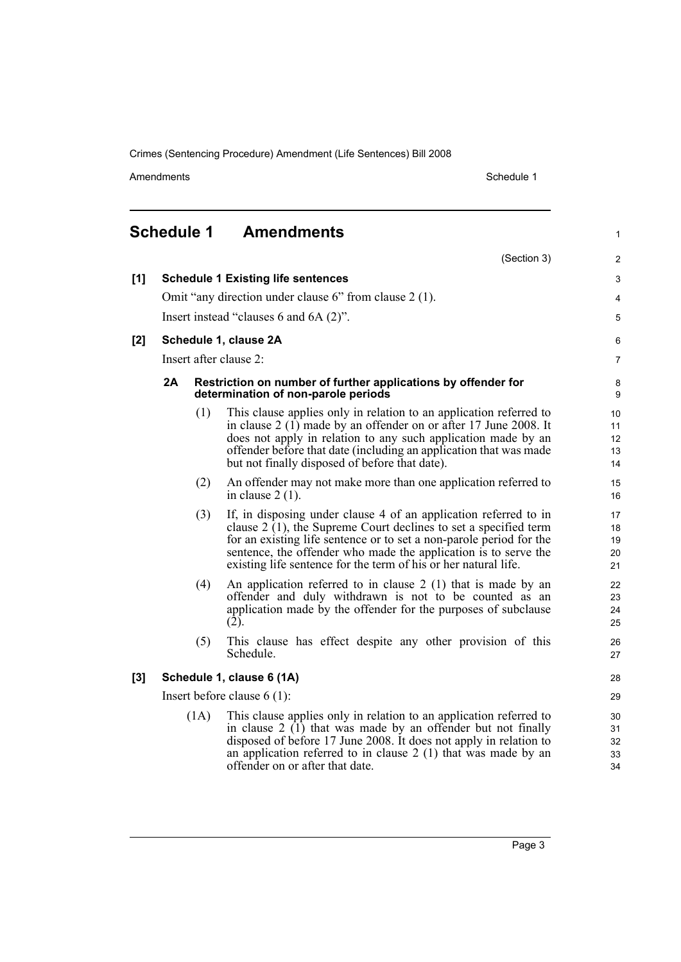Amendments Schedule 1

1

### <span id="page-8-0"></span>**Schedule 1 Amendments**

|       |                                                        |      | (Section 3)                                                                                                                                                                                                                                                                                                                                         | 2                          |  |
|-------|--------------------------------------------------------|------|-----------------------------------------------------------------------------------------------------------------------------------------------------------------------------------------------------------------------------------------------------------------------------------------------------------------------------------------------------|----------------------------|--|
| [1]   | <b>Schedule 1 Existing life sentences</b>              |      |                                                                                                                                                                                                                                                                                                                                                     |                            |  |
|       | Omit "any direction under clause 6" from clause 2 (1). |      |                                                                                                                                                                                                                                                                                                                                                     |                            |  |
|       | Insert instead "clauses 6 and 6A (2)".                 |      |                                                                                                                                                                                                                                                                                                                                                     |                            |  |
| [2]   | Schedule 1, clause 2A                                  |      |                                                                                                                                                                                                                                                                                                                                                     | 6                          |  |
|       | Insert after clause 2:                                 |      |                                                                                                                                                                                                                                                                                                                                                     | 7                          |  |
|       | 2A                                                     |      | Restriction on number of further applications by offender for<br>determination of non-parole periods                                                                                                                                                                                                                                                | 8<br>9                     |  |
|       |                                                        | (1)  | This clause applies only in relation to an application referred to<br>in clause $2(1)$ made by an offender on or after 17 June 2008. It<br>does not apply in relation to any such application made by an<br>offender before that date (including an application that was made<br>but not finally disposed of before that date).                     | 10<br>11<br>12<br>13<br>14 |  |
|       |                                                        | (2)  | An offender may not make more than one application referred to<br>in clause $2(1)$ .                                                                                                                                                                                                                                                                | 15<br>16                   |  |
|       |                                                        | (3)  | If, in disposing under clause 4 of an application referred to in<br>clause $2(1)$ , the Supreme Court declines to set a specified term<br>for an existing life sentence or to set a non-parole period for the<br>sentence, the offender who made the application is to serve the<br>existing life sentence for the term of his or her natural life. | 17<br>18<br>19<br>20<br>21 |  |
|       |                                                        | (4)  | An application referred to in clause $2(1)$ that is made by an<br>offender and duly withdrawn is not to be counted as an<br>application made by the offender for the purposes of subclause<br>(2).                                                                                                                                                  | 22<br>23<br>24<br>25       |  |
|       |                                                        | (5)  | This clause has effect despite any other provision of this<br>Schedule.                                                                                                                                                                                                                                                                             | 26<br>27                   |  |
| $[3]$ | Schedule 1, clause 6 (1A)                              |      |                                                                                                                                                                                                                                                                                                                                                     |                            |  |
|       | Insert before clause $6(1)$ :                          |      |                                                                                                                                                                                                                                                                                                                                                     |                            |  |
|       |                                                        | (1A) | This clause applies only in relation to an application referred to<br>in clause $2(1)$ that was made by an offender but not finally<br>disposed of before 17 June 2008. It does not apply in relation to<br>an application referred to in clause $2(1)$ that was made by an<br>offender on or after that date.                                      | 30<br>31<br>32<br>33<br>34 |  |

Page 3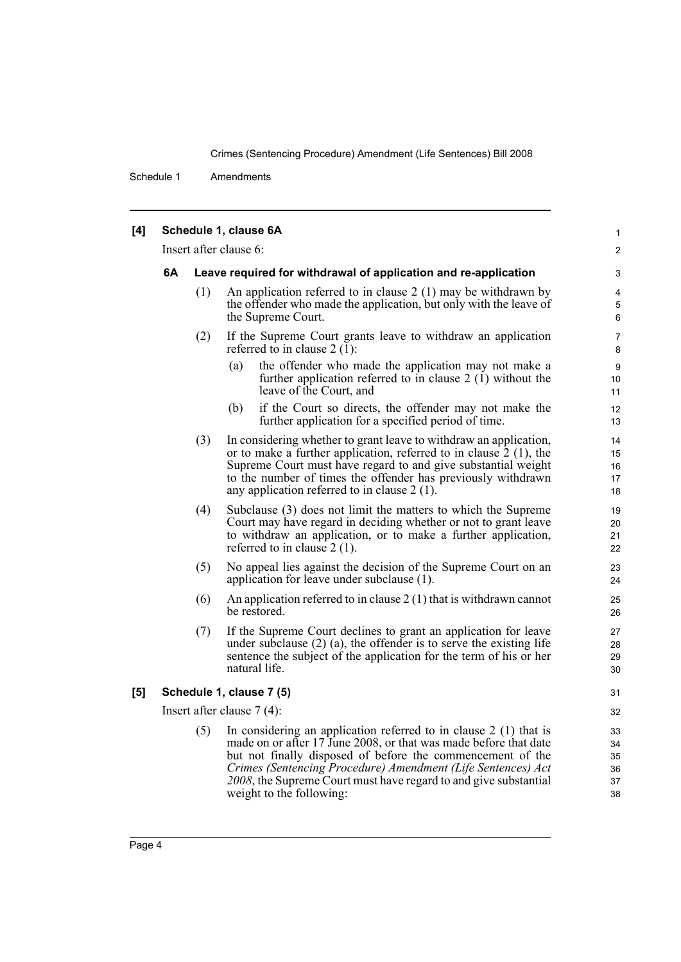Schedule 1 Amendments

| [4] |                              |                                                                 | Schedule 1, clause 6A                                                                                                                                                                                                                                                                                                                                                | 1                                |
|-----|------------------------------|-----------------------------------------------------------------|----------------------------------------------------------------------------------------------------------------------------------------------------------------------------------------------------------------------------------------------------------------------------------------------------------------------------------------------------------------------|----------------------------------|
|     | Insert after clause 6:       |                                                                 |                                                                                                                                                                                                                                                                                                                                                                      | 2                                |
|     | 6A                           | Leave required for withdrawal of application and re-application |                                                                                                                                                                                                                                                                                                                                                                      | 3                                |
|     |                              | (1)                                                             | An application referred to in clause $2(1)$ may be withdrawn by<br>the offender who made the application, but only with the leave of<br>the Supreme Court.                                                                                                                                                                                                           | 4<br>5<br>6                      |
|     |                              | (2)                                                             | If the Supreme Court grants leave to withdraw an application<br>referred to in clause $2(1)$ :                                                                                                                                                                                                                                                                       | 7<br>8                           |
|     |                              |                                                                 | (a)<br>the offender who made the application may not make a<br>further application referred to in clause $2(1)$ without the<br>leave of the Court, and                                                                                                                                                                                                               | 9<br>10<br>11                    |
|     |                              |                                                                 | if the Court so directs, the offender may not make the<br>(b)<br>further application for a specified period of time.                                                                                                                                                                                                                                                 | 12<br>13                         |
|     |                              | (3)                                                             | In considering whether to grant leave to withdraw an application,<br>or to make a further application, referred to in clause $\overline{2}$ (1), the<br>Supreme Court must have regard to and give substantial weight<br>to the number of times the offender has previously withdrawn<br>any application referred to in clause $2(1)$ .                              | 14<br>15<br>16<br>17<br>18       |
|     |                              | (4)                                                             | Subclause (3) does not limit the matters to which the Supreme<br>Court may have regard in deciding whether or not to grant leave<br>to withdraw an application, or to make a further application,<br>referred to in clause $2(1)$ .                                                                                                                                  | 19<br>20<br>21<br>22             |
|     |                              | (5)                                                             | No appeal lies against the decision of the Supreme Court on an<br>application for leave under subclause (1).                                                                                                                                                                                                                                                         | 23<br>24                         |
|     |                              | (6)                                                             | An application referred to in clause $2(1)$ that is withdrawn cannot<br>be restored.                                                                                                                                                                                                                                                                                 | 25<br>26                         |
|     |                              | (7)                                                             | If the Supreme Court declines to grant an application for leave<br>under subclause $(2)$ (a), the offender is to serve the existing life<br>sentence the subject of the application for the term of his or her<br>natural life.                                                                                                                                      | 27<br>28<br>29<br>30             |
| [5] | Schedule 1, clause 7 (5)     |                                                                 |                                                                                                                                                                                                                                                                                                                                                                      | 31                               |
|     | Insert after clause $7(4)$ : |                                                                 |                                                                                                                                                                                                                                                                                                                                                                      | 32                               |
|     |                              | (5)                                                             | In considering an application referred to in clause $2(1)$ that is<br>made on or after 17 June 2008, or that was made before that date<br>but not finally disposed of before the commencement of the<br>Crimes (Sentencing Procedure) Amendment (Life Sentences) Act<br>2008, the Supreme Court must have regard to and give substantial<br>weight to the following: | 33<br>34<br>35<br>36<br>37<br>38 |